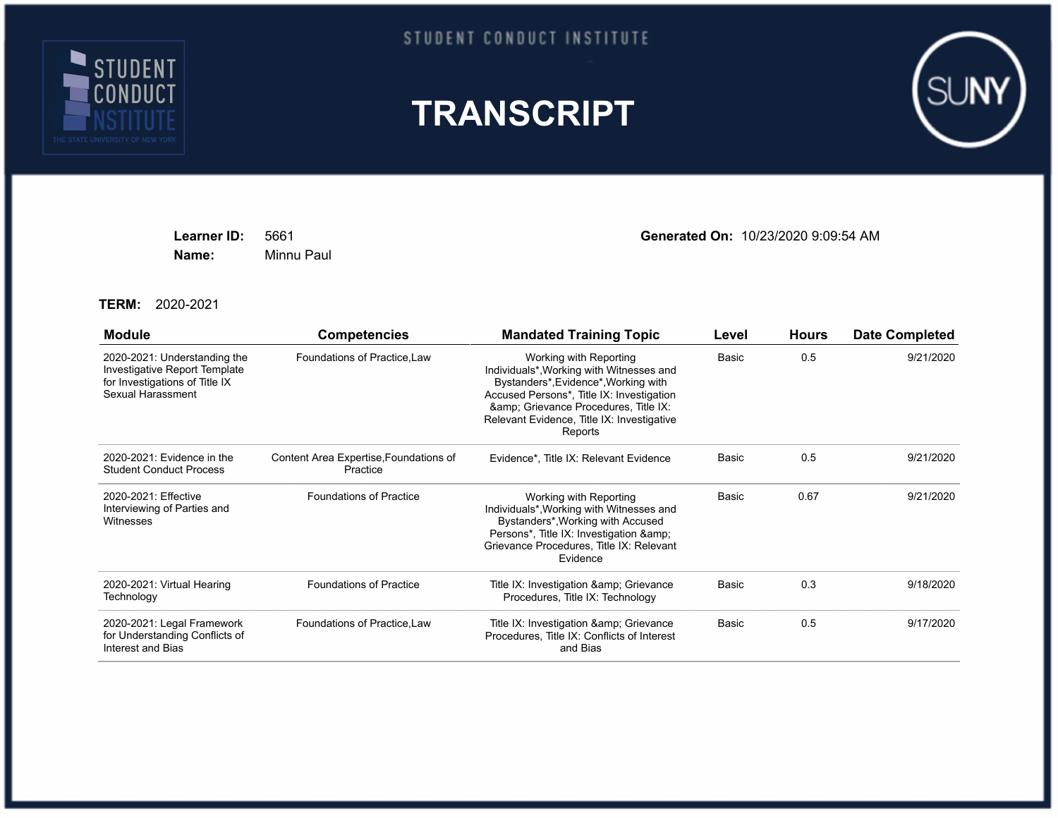

## STUDENT CONDUCT INSTITUTE





**Name:** Minnu Paul

**Learner ID:** 5661 **Generated On:** 10/23/2020 9:09:54 AM

**TERM:** 2020-2021

| <b>Module</b>                                                                                                        | <b>Competencies</b>                                | <b>Mandated Training Topic</b>                                                                                                                                                                                                                         | Level        | <b>Hours</b> | <b>Date Completed</b> |
|----------------------------------------------------------------------------------------------------------------------|----------------------------------------------------|--------------------------------------------------------------------------------------------------------------------------------------------------------------------------------------------------------------------------------------------------------|--------------|--------------|-----------------------|
| 2020-2021: Understanding the<br>Investigative Report Template<br>for Investigations of Title IX<br>Sexual Harassment | Foundations of Practice, Law                       | Working with Reporting<br>Individuals*, Working with Witnesses and<br>Bystanders*, Evidence*, Working with<br>Accused Persons*, Title IX: Investigation<br>&, Grievance Procedures, Title IX:<br>Relevant Evidence, Title IX: Investigative<br>Reports | Basic        | 0.5          | 9/21/2020             |
| 2020-2021: Evidence in the<br><b>Student Conduct Process</b>                                                         | Content Area Expertise, Foundations of<br>Practice | Evidence*, Title IX: Relevant Evidence                                                                                                                                                                                                                 | <b>Basic</b> | 0.5          | 9/21/2020             |
| 2020-2021: Effective<br>Interviewing of Parties and<br>Witnesses                                                     | <b>Foundations of Practice</b>                     | Working with Reporting<br>Individuals*, Working with Witnesses and<br>Bystanders*, Working with Accused<br>Persons*, Title IX: Investigation &<br>Grievance Procedures, Title IX: Relevant<br>Evidence                                                 | Basic        | 0.67         | 9/21/2020             |
| 2020-2021: Virtual Hearing<br>Technology                                                                             | <b>Foundations of Practice</b>                     | Title IX: Investigation & amp; Grievance<br>Procedures, Title IX: Technology                                                                                                                                                                           | Basic        | 0.3          | 9/18/2020             |
| 2020-2021: Legal Framework<br>for Understanding Conflicts of<br>Interest and Bias                                    | Foundations of Practice, Law                       | Title IX: Investigation & amp; Grievance<br>Procedures, Title IX: Conflicts of Interest<br>and Bias                                                                                                                                                    | Basic        | 0.5          | 9/17/2020             |